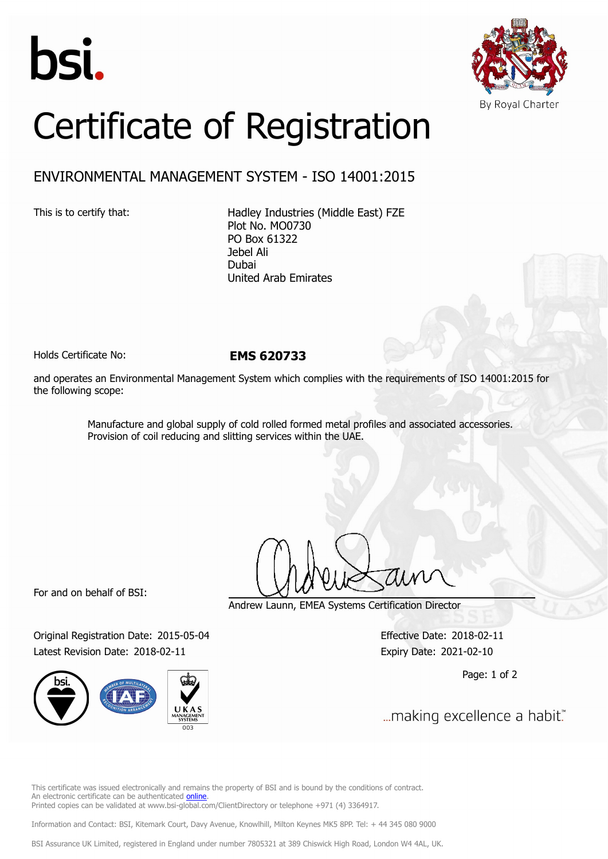



## Certificate of Registration

## ENVIRONMENTAL MANAGEMENT SYSTEM - ISO 14001:2015

This is to certify that: Hadley Industries (Middle East) FZE Plot No. MO0730 PO Box 61322 Jebel Ali Dubai United Arab Emirates

Holds Certificate No: **EMS 620733**

and operates an Environmental Management System which complies with the requirements of ISO 14001:2015 for the following scope:

> Manufacture and global supply of cold rolled formed metal profiles and associated accessories. Provision of coil reducing and slitting services within the UAE.

For and on behalf of BSI:

Original Registration Date: 2015-05-04 Effective Date: 2018-02-11 Latest Revision Date: 2018-02-11 Expiry Date: 2021-02-10



Andrew Launn, EMEA Systems Certification Director

Page: 1 of 2

... making excellence a habit."

This certificate was issued electronically and remains the property of BSI and is bound by the conditions of contract. An electronic certificate can be authenticated [online](https://pgplus.bsigroup.com/CertificateValidation/CertificateValidator.aspx?CertificateNumber=EMS+620733&ReIssueDate=11%2f02%2f2018&Template=cemea_en) Printed copies can be validated at www.bsi-global.com/ClientDirectory or telephone +971 (4) 3364917.

Information and Contact: BSI, Kitemark Court, Davy Avenue, Knowlhill, Milton Keynes MK5 8PP. Tel: + 44 345 080 9000

BSI Assurance UK Limited, registered in England under number 7805321 at 389 Chiswick High Road, London W4 4AL, UK.